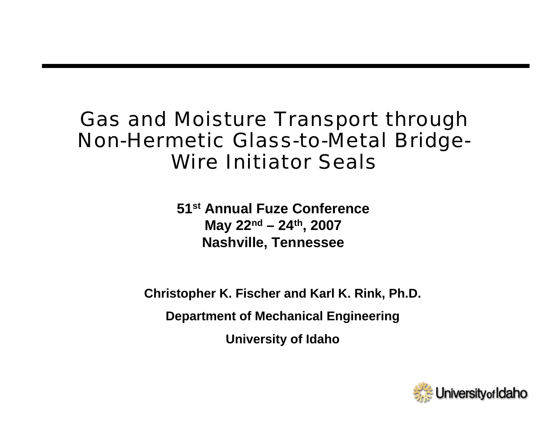#### Gas and Moisture Transport through Non-Hermetic Glass-to-Metal Bridge-Wire Initiator Seals

**51st Annual Fuze ConferenceMay 22nd – 24th, 2007 Nashville, Tennessee**

**Christopher K. Fischer and Karl K. Rink, Ph.D.**

**Department of Mechanical Engineering**

**University of Idaho**

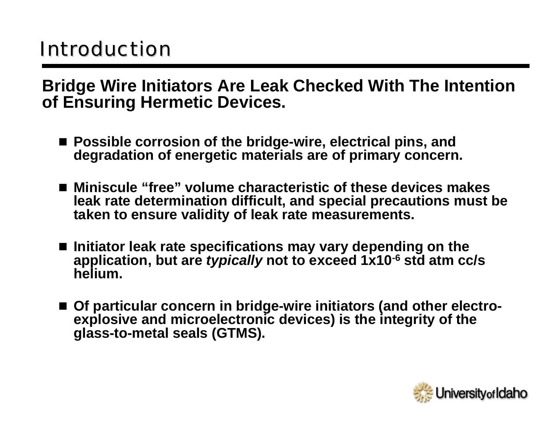# **Introduction**

**Bridge Wire Initiators Are Leak Checked With The Intention of Ensuring Hermetic Devices.**

- **Possible corrosion of the bridge-wire, electrical pins, and degradation of energetic materials are of primary concern.**
- **Miniscule "free" volume characteristic of these devices makes leak rate determination difficult, and special precautions must be taken to ensure validity of leak rate measurements.**
- Initiator leak rate specifications may vary depending on the **application, but are** *typically* **not to exceed 1x10-6 std atm cc/s helium.**
- **Of particular concern in bridge-wire initiators (and other electroexplosive and microelectronic devices) is the integrity of the glass-to-metal seals (GTMS).**

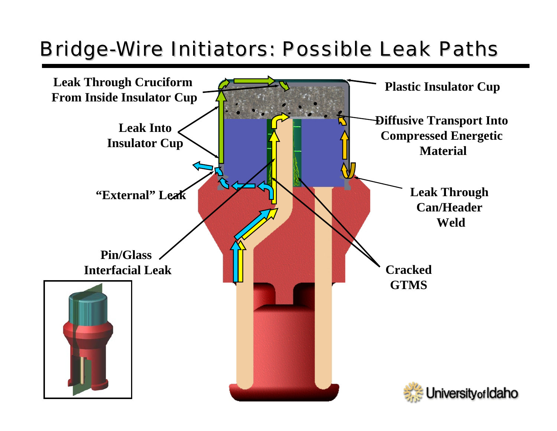# Bridge-Wire Initiators: Possible Leak Paths

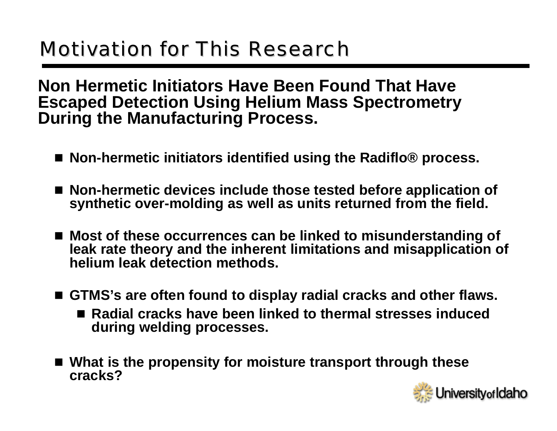# **Motivation for This Research**

**Non Hermetic Initiators Have Been Found That Have Escaped Detection Using Helium Mass Spectrometry During the Manufacturing Process.**

- **Non-hermetic initiators identified using the Radiflo® process.**
- **Non-hermetic devices include those tested before application of synthetic over-molding as well as units returned from the field.**
- **Most of these occurrences can be linked to misunderstanding of leak rate theory and the inherent limitations and misapplication of helium leak detection methods.**
- **GTMS's are often found to display radial cracks and other flaws.**
	- Radial cracks have been linked to thermal stresses induced **during welding processes.**
- **What is the propensity for moisture transport through these cracks?**

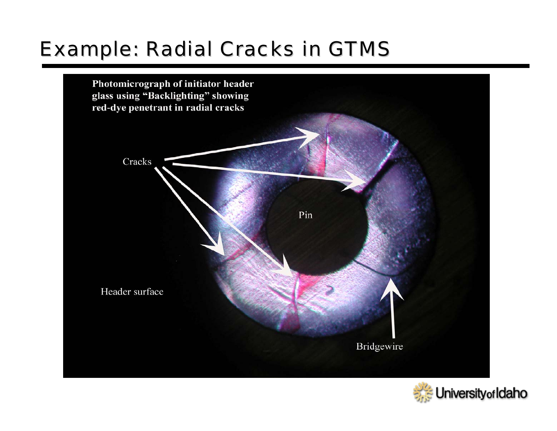### **Example: Radial Cracks in GTMS**



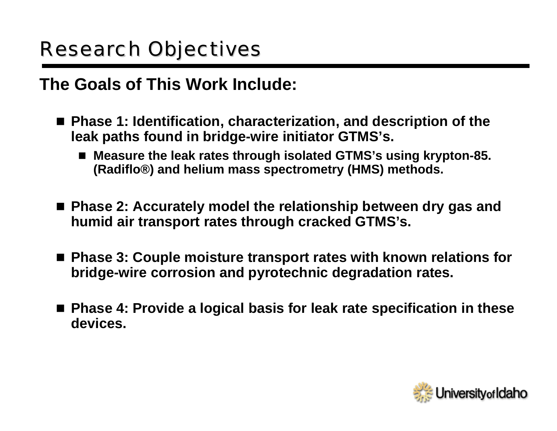# **Research Objectives**

#### **The Goals of This Work Include:**

- Phase 1: Identification, characterization, and description of the **leak paths found in bridge-wire initiator GTMS's.**
	- F **Measure the leak rates through isolated GTMS's using krypton-85. (Radiflo®) and helium mass spectrometry (HMS) methods.**
- **Phase 2: Accurately model the relationship between dry gas and humid air transport rates through cracked GTMS's.**
- Phase 3: Couple moisture transport rates with known relations for **bridge-wire corrosion and pyrotechnic degradation rates.**
- **Phase 4: Provide a logical basis for leak rate specification in these devices.**

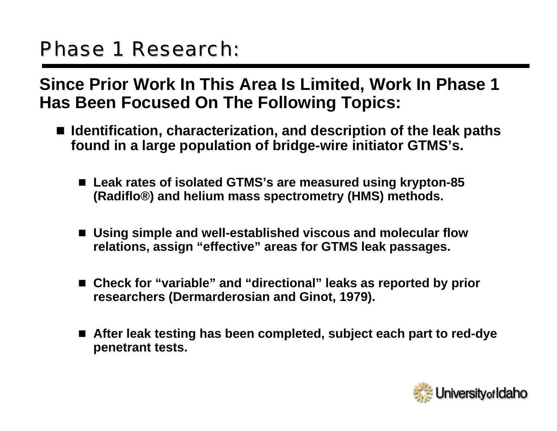## Phase 1 Research:

**Since Prior Work In This Area Is Limited, Work In Phase 1 Has Been Focused On The Following Topics:**

- **Identification, characterization, and description of the leak paths found in a large population of bridge-wire initiator GTMS's.**
	- **Leak rates of isolated GTMS's are measured using krypton-85 (Radiflo®) and helium mass spectrometry (HMS) methods.**
	- **Using simple and well-established viscous and molecular flow relations, assign "effective" areas for GTMS leak passages.**
	- **Check for "variable" and "directional" leaks as reported by prior researchers (Dermarderosian and Ginot, 1979).**
	- **After leak testing has been completed, subject each part to red-dye penetrant tests.**

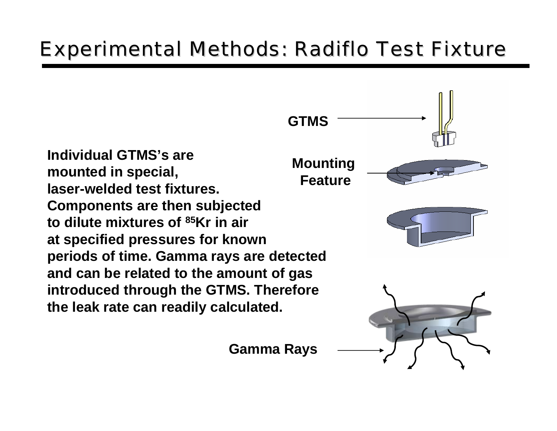# Experimental Methods: Radiflo Test Fixture

**Individual GTMS's aremounted in special, laser-welded test fixtures. Components are then subjected to dilute mixtures of 85Kr in airat specified pressures for known periods of time. Gamma rays are detected and can be related to the amount of gas introduced through the GTMS. Therefore the leak rate can readily calculated.**

**GTMSMounting Feature**

**Gamma Rays**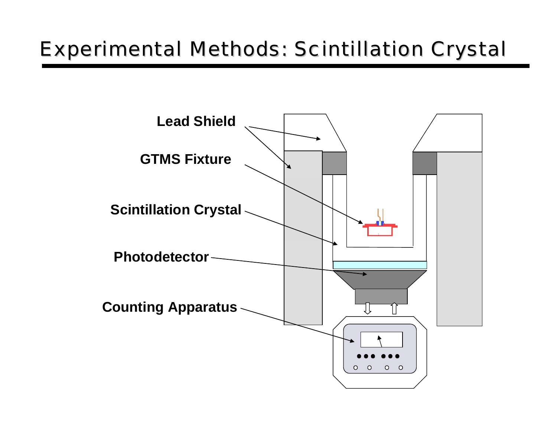## Experimental Methods: Scintillation Crystal Experimental Methods: Scintillation Crystal

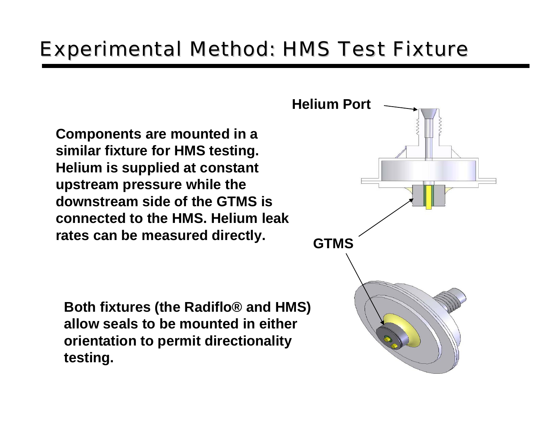#### Experimental Method: HMS Test Fixture

**Components are mounted in a similar fixture for HMS testing. Helium is supplied at constant upstream pressure while the downstream side of the GTMS isconnected to the HMS. Helium leak**rates can be measured directly. **GTMS** 

**Both fixtures (the Radiflo® and HMS) allow seals to be mounted in eitherorientation to permit directionality testing.** 

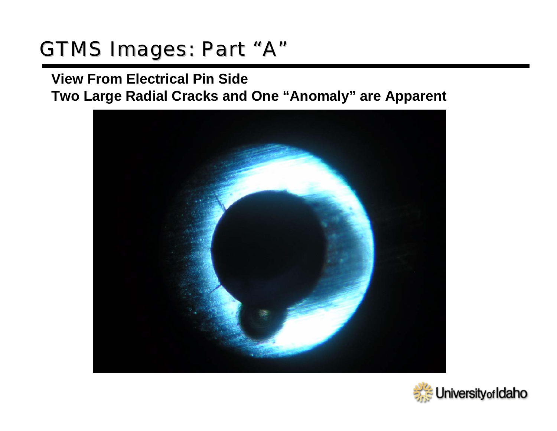## GTMS Images: Part "A"

#### **View From Electrical Pin Side Two Large Radial Cracks and One "Anomaly" are Apparent**



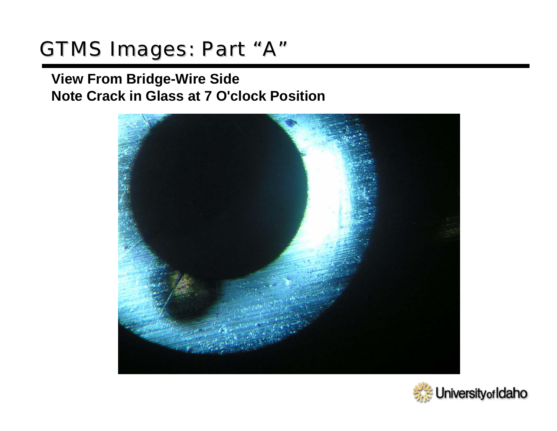### GTMS Images: Part "A"

#### **View From Bridge-Wire Side Note Crack in Glass at 7 O'clock Position**



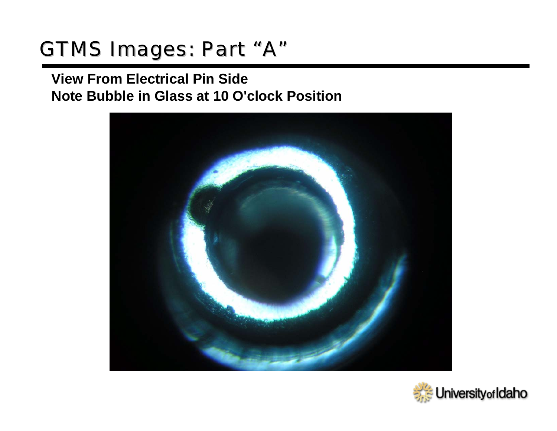#### GTMS Images: Part "A"

#### **View From Electrical Pin Side Note Bubble in Glass at 10 O'clock Position**



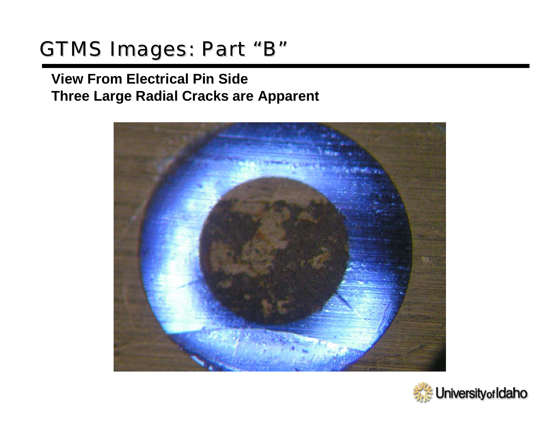# GTMS Images: Part "B"

#### **View From Electrical Pin Side Three Large Radial Cracks are Apparent**



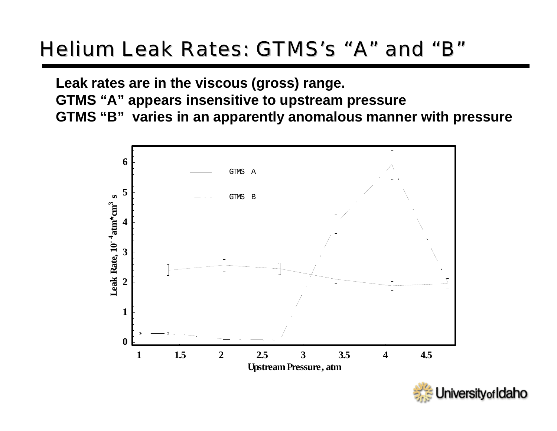#### Helium Leak Rates: GTMS's "A" and "B"

**Leak rates are in the viscous (gross) range.**

**GTMS "A" appears insensitive to upstream pressure**

**GTMS "B" varies in an apparently anomalous manner with pressure**



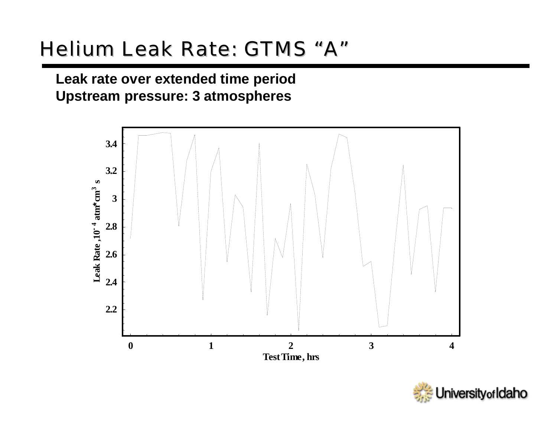## Helium Leak Rate: GTMS "A"

**Leak rate over extended time period Upstream pressure: 3 atmospheres**



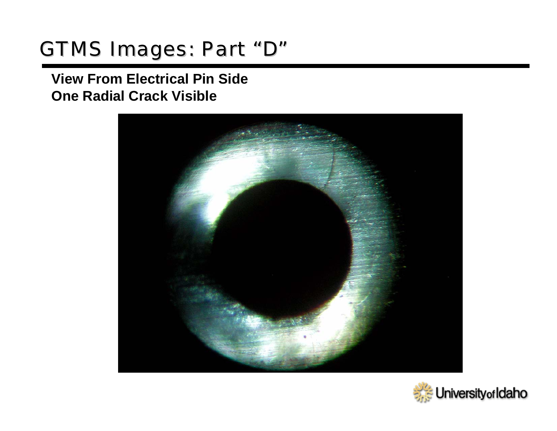## GTMS Images: Part "D"

#### **View From Electrical Pin Side One Radial Crack Visible**



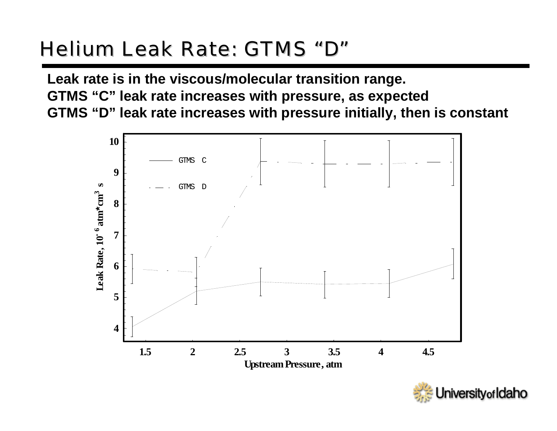# Helium Leak Rate: GTMS "D"

**Leak rate is in the viscous/molecular transition range. GTMS "C" leak rate increases with pressure, as expected GTMS "D" leak rate increases with pressure initially, then is constant**